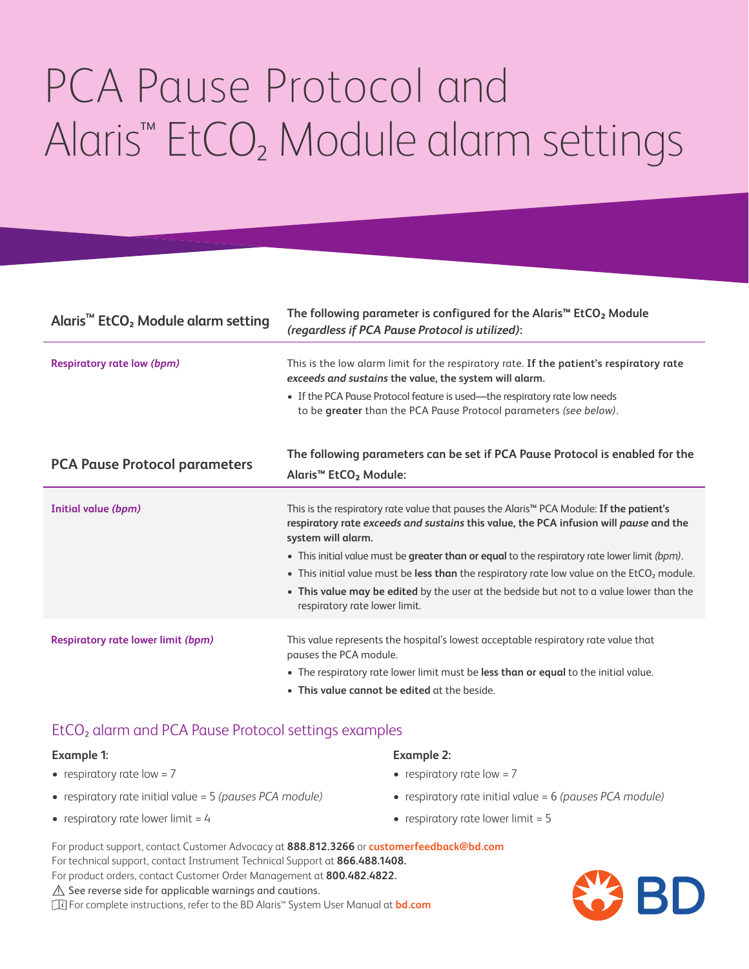# PCA Pause Protocol and Alaris™ EtCO₂ Module alarm settings

| Alaris <sup>™</sup> EtCO <sub>2</sub> Module alarm setting | The following parameter is configured for the Alaris <sup>™</sup> EtCO <sub>2</sub> Module<br>(regardless if PCA Pause Protocol is utilized):                                                                      |
|------------------------------------------------------------|--------------------------------------------------------------------------------------------------------------------------------------------------------------------------------------------------------------------|
| <b>Respiratory rate low (bpm)</b>                          | This is the low alarm limit for the respiratory rate. If the patient's respiratory rate<br>exceeds and sustains the value, the system will alarm.                                                                  |
|                                                            | • If the PCA Pause Protocol feature is used-the respiratory rate low needs<br>to be greater than the PCA Pause Protocol parameters (see below).                                                                    |
| <b>PCA Pause Protocol parameters</b>                       | The following parameters can be set if PCA Pause Protocol is enabled for the<br>Alaris <sup>™</sup> EtCO <sub>2</sub> Module:                                                                                      |
| Initial value (bpm)                                        | This is the respiratory rate value that pauses the Alaris <sup>™</sup> PCA Module: If the patient's<br>respiratory rate exceeds and sustains this value, the PCA infusion will pause and the<br>system will alarm. |
|                                                            | • This initial value must be greater than or equal to the respiratory rate lower limit (bpm).                                                                                                                      |
|                                                            | • This initial value must be less than the respiratory rate low value on the EtCO <sub>2</sub> module.                                                                                                             |
|                                                            | . This value may be edited by the user at the bedside but not to a value lower than the<br>respiratory rate lower limit.                                                                                           |
| <b>Respiratory rate lower limit (bpm)</b>                  | This value represents the hospital's lowest acceptable respiratory rate value that<br>pauses the PCA module.                                                                                                       |
|                                                            | • The respiratory rate lower limit must be less than or equal to the initial value.                                                                                                                                |
|                                                            | • This value cannot be edited at the beside.                                                                                                                                                                       |

### EtCO₂ alarm and PCA Pause Protocol settings examples

#### **Example 1:**

- $\bullet$  respiratory rate low = 7
- respiratory rate initial value = 5 *(pauses PCA module)*
- respiratory rate lower limit  $= 4$

#### **Example 2:**

- $\bullet$  respiratory rate low = 7
- respiratory rate initial value = 6 *(pauses PCA module)*
- respiratory rate lower limit  $= 5$
- For product support, contact Customer Advocacy at **888.812.3266** or **customerfeedback@bd.com** For technical support, contact Instrument Technical Support at **866.488.1408.**

For product orders, contact Customer Order Management at **800.482.4822.**

 $\triangle$  See reverse side for applicable warnings and cautions.

For complete instructions, refer to the BD Alaris™ System User Manual at **bd.com**

BD